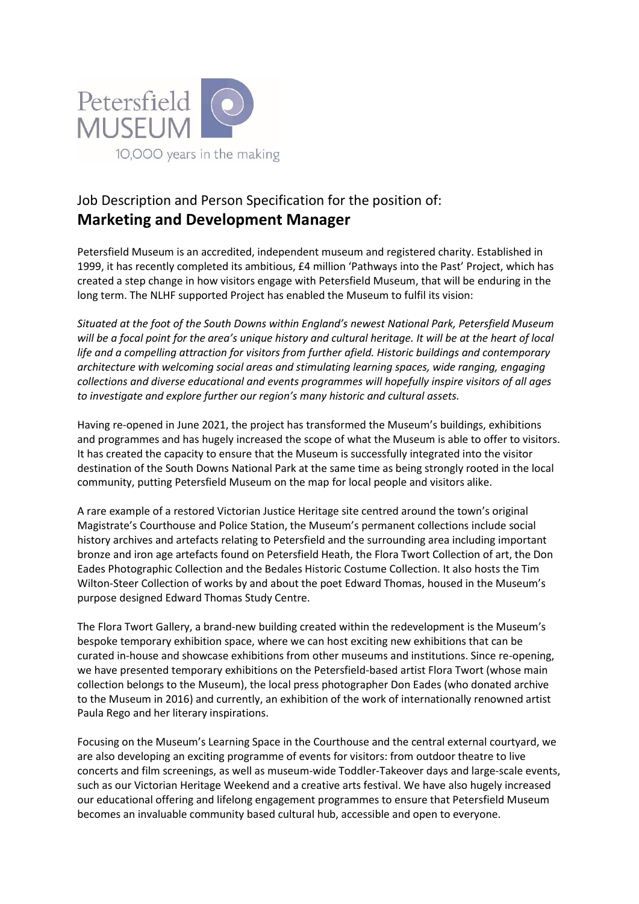

# Job Description and Person Specification for the position of: **Marketing and Development Manager**

Petersfield Museum is an accredited, independent museum and registered charity. Established in 1999, it has recently completed its ambitious, £4 million 'Pathways into the Past' Project, which has created a step change in how visitors engage with Petersfield Museum, that will be enduring in the long term. The NLHF supported Project has enabled the Museum to fulfil its vision:

*Situated at the foot of the South Downs within England's newest National Park, Petersfield Museum will be a focal point for the area's unique history and cultural heritage. It will be at the heart of local life and a compelling attraction for visitors from further afield. Historic buildings and contemporary architecture with welcoming social areas and stimulating learning spaces, wide ranging, engaging collections and diverse educational and events programmes will hopefully inspire visitors of all ages to investigate and explore further our region's many historic and cultural assets.* 

Having re-opened in June 2021, the project has transformed the Museum's buildings, exhibitions and programmes and has hugely increased the scope of what the Museum is able to offer to visitors. It has created the capacity to ensure that the Museum is successfully integrated into the visitor destination of the South Downs National Park at the same time as being strongly rooted in the local community, putting Petersfield Museum on the map for local people and visitors alike.

A rare example of a restored Victorian Justice Heritage site centred around the town's original Magistrate's Courthouse and Police Station, the Museum's permanent collections include social history archives and artefacts relating to Petersfield and the surrounding area including important bronze and iron age artefacts found on Petersfield Heath, the Flora Twort Collection of art, the Don Eades Photographic Collection and the Bedales Historic Costume Collection. It also hosts the Tim Wilton-Steer Collection of works by and about the poet Edward Thomas, housed in the Museum's purpose designed Edward Thomas Study Centre.

The Flora Twort Gallery, a brand-new building created within the redevelopment is the Museum's bespoke temporary exhibition space, where we can host exciting new exhibitions that can be curated in-house and showcase exhibitions from other museums and institutions. Since re-opening, we have presented temporary exhibitions on the Petersfield-based artist Flora Twort (whose main collection belongs to the Museum), the local press photographer Don Eades (who donated archive to the Museum in 2016) and currently, an exhibition of the work of internationally renowned artist Paula Rego and her literary inspirations.

Focusing on the Museum's Learning Space in the Courthouse and the central external courtyard, we are also developing an exciting programme of events for visitors: from outdoor theatre to live concerts and film screenings, as well as museum-wide Toddler-Takeover days and large-scale events, such as our Victorian Heritage Weekend and a creative arts festival. We have also hugely increased our educational offering and lifelong engagement programmes to ensure that Petersfield Museum becomes an invaluable community based cultural hub, accessible and open to everyone.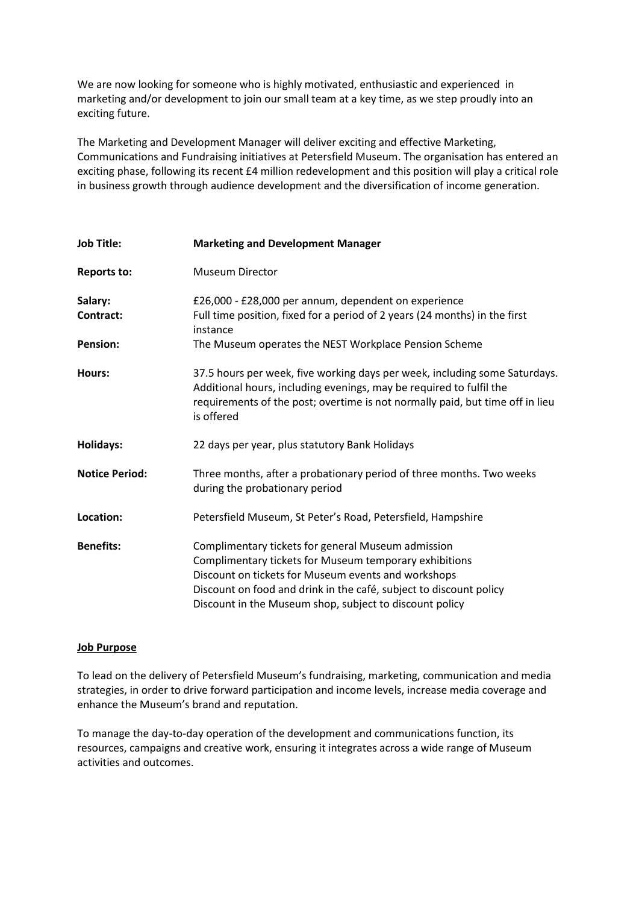We are now looking for someone who is highly motivated, enthusiastic and experienced in marketing and/or development to join our small team at a key time, as we step proudly into an exciting future.

The Marketing and Development Manager will deliver exciting and effective Marketing, Communications and Fundraising initiatives at Petersfield Museum. The organisation has entered an exciting phase, following its recent £4 million redevelopment and this position will play a critical role in business growth through audience development and the diversification of income generation.

| <b>Job Title:</b>     | <b>Marketing and Development Manager</b>                                                                                                                                                                                                                                                             |
|-----------------------|------------------------------------------------------------------------------------------------------------------------------------------------------------------------------------------------------------------------------------------------------------------------------------------------------|
| <b>Reports to:</b>    | <b>Museum Director</b>                                                                                                                                                                                                                                                                               |
| Salary:               | £26,000 - £28,000 per annum, dependent on experience                                                                                                                                                                                                                                                 |
| Contract:             | Full time position, fixed for a period of 2 years (24 months) in the first<br>instance                                                                                                                                                                                                               |
| <b>Pension:</b>       | The Museum operates the NEST Workplace Pension Scheme                                                                                                                                                                                                                                                |
| Hours:                | 37.5 hours per week, five working days per week, including some Saturdays.<br>Additional hours, including evenings, may be required to fulfil the<br>requirements of the post; overtime is not normally paid, but time off in lieu<br>is offered                                                     |
| <b>Holidays:</b>      | 22 days per year, plus statutory Bank Holidays                                                                                                                                                                                                                                                       |
| <b>Notice Period:</b> | Three months, after a probationary period of three months. Two weeks<br>during the probationary period                                                                                                                                                                                               |
| Location:             | Petersfield Museum, St Peter's Road, Petersfield, Hampshire                                                                                                                                                                                                                                          |
| <b>Benefits:</b>      | Complimentary tickets for general Museum admission<br>Complimentary tickets for Museum temporary exhibitions<br>Discount on tickets for Museum events and workshops<br>Discount on food and drink in the café, subject to discount policy<br>Discount in the Museum shop, subject to discount policy |

### **Job Purpose**

To lead on the delivery of Petersfield Museum's fundraising, marketing, communication and media strategies, in order to drive forward participation and income levels, increase media coverage and enhance the Museum's brand and reputation.

To manage the day-to-day operation of the development and communications function, its resources, campaigns and creative work, ensuring it integrates across a wide range of Museum activities and outcomes.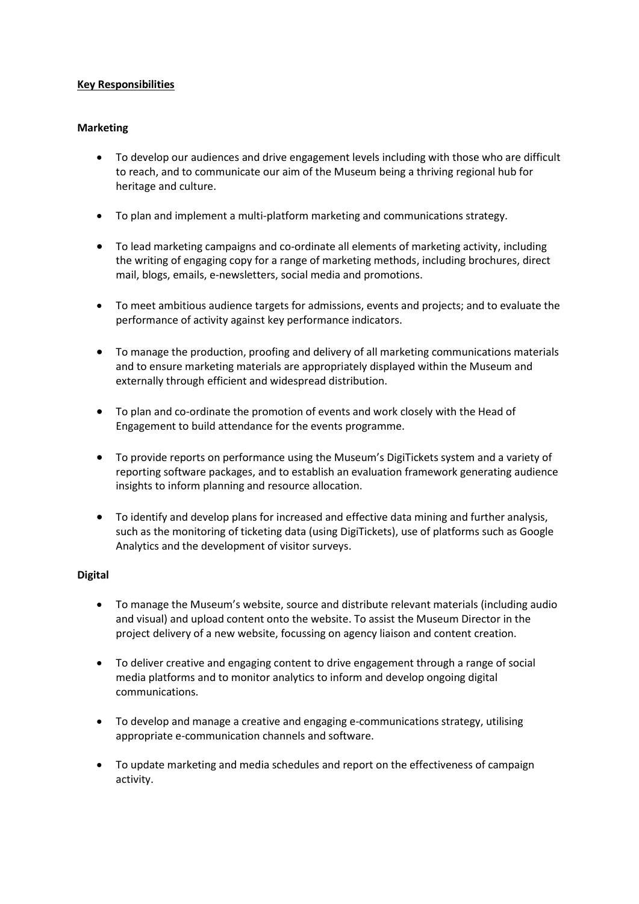# **Key Responsibilities**

## **Marketing**

- To develop our audiences and drive engagement levels including with those who are difficult to reach, and to communicate our aim of the Museum being a thriving regional hub for heritage and culture.
- To plan and implement a multi-platform marketing and communications strategy.
- To lead marketing campaigns and co-ordinate all elements of marketing activity, including the writing of engaging copy for a range of marketing methods, including brochures, direct mail, blogs, emails, e-newsletters, social media and promotions.
- To meet ambitious audience targets for admissions, events and projects; and to evaluate the performance of activity against key performance indicators.
- To manage the production, proofing and delivery of all marketing communications materials and to ensure marketing materials are appropriately displayed within the Museum and externally through efficient and widespread distribution.
- To plan and co-ordinate the promotion of events and work closely with the Head of Engagement to build attendance for the events programme.
- To provide reports on performance using the Museum's DigiTickets system and a variety of reporting software packages, and to establish an evaluation framework generating audience insights to inform planning and resource allocation.
- To identify and develop plans for increased and effective data mining and further analysis, such as the monitoring of ticketing data (using DigiTickets), use of platforms such as Google Analytics and the development of visitor surveys.

### **Digital**

- To manage the Museum's website, source and distribute relevant materials (including audio and visual) and upload content onto the website. To assist the Museum Director in the project delivery of a new website, focussing on agency liaison and content creation.
- To deliver creative and engaging content to drive engagement through a range of social media platforms and to monitor analytics to inform and develop ongoing digital communications.
- To develop and manage a creative and engaging e-communications strategy, utilising appropriate e-communication channels and software.
- To update marketing and media schedules and report on the effectiveness of campaign activity.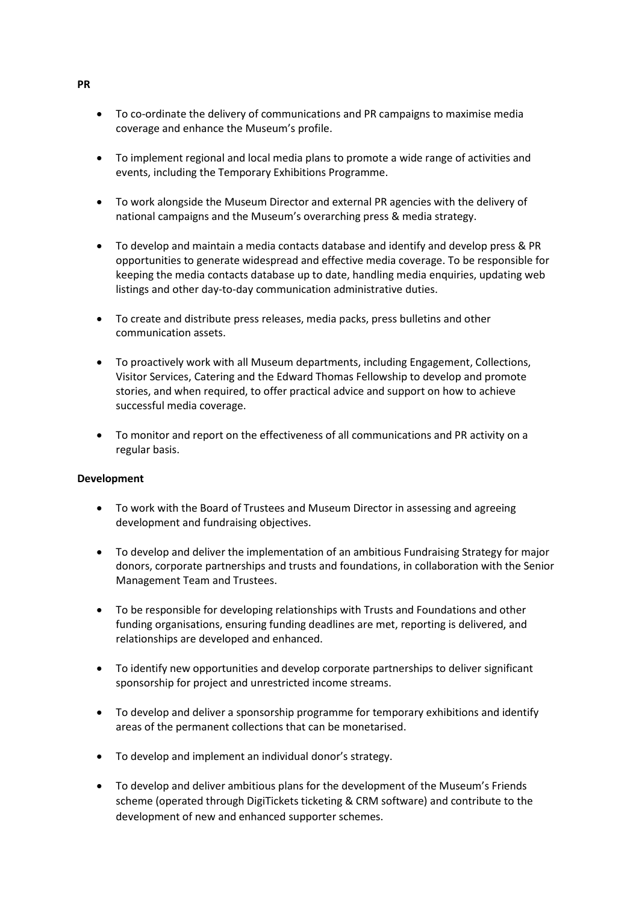- To co-ordinate the delivery of communications and PR campaigns to maximise media coverage and enhance the Museum's profile.
- To implement regional and local media plans to promote a wide range of activities and events, including the Temporary Exhibitions Programme.
- To work alongside the Museum Director and external PR agencies with the delivery of national campaigns and the Museum's overarching press & media strategy.
- To develop and maintain a media contacts database and identify and develop press & PR opportunities to generate widespread and effective media coverage. To be responsible for keeping the media contacts database up to date, handling media enquiries, updating web listings and other day-to-day communication administrative duties.
- To create and distribute press releases, media packs, press bulletins and other communication assets.
- To proactively work with all Museum departments, including Engagement, Collections, Visitor Services, Catering and the Edward Thomas Fellowship to develop and promote stories, and when required, to offer practical advice and support on how to achieve successful media coverage.
- To monitor and report on the effectiveness of all communications and PR activity on a regular basis.

### **Development**

- To work with the Board of Trustees and Museum Director in assessing and agreeing development and fundraising objectives.
- To develop and deliver the implementation of an ambitious Fundraising Strategy for major donors, corporate partnerships and trusts and foundations, in collaboration with the Senior Management Team and Trustees.
- To be responsible for developing relationships with Trusts and Foundations and other funding organisations, ensuring funding deadlines are met, reporting is delivered, and relationships are developed and enhanced.
- To identify new opportunities and develop corporate partnerships to deliver significant sponsorship for project and unrestricted income streams.
- To develop and deliver a sponsorship programme for temporary exhibitions and identify areas of the permanent collections that can be monetarised.
- To develop and implement an individual donor's strategy.
- To develop and deliver ambitious plans for the development of the Museum's Friends scheme (operated through DigiTickets ticketing & CRM software) and contribute to the development of new and enhanced supporter schemes.

#### **PR**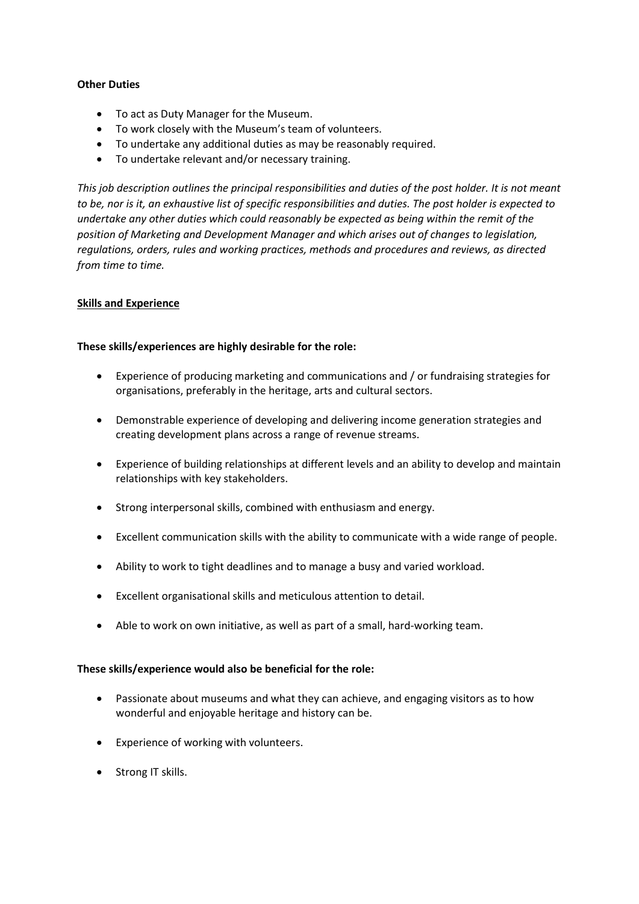### **Other Duties**

- To act as Duty Manager for the Museum.
- To work closely with the Museum's team of volunteers.
- To undertake any additional duties as may be reasonably required.
- To undertake relevant and/or necessary training.

*This job description outlines the principal responsibilities and duties of the post holder. It is not meant to be, nor is it, an exhaustive list of specific responsibilities and duties. The post holder is expected to undertake any other duties which could reasonably be expected as being within the remit of the position of Marketing and Development Manager and which arises out of changes to legislation, regulations, orders, rules and working practices, methods and procedures and reviews, as directed from time to time.* 

# **Skills and Experience**

# **These skills/experiences are highly desirable for the role:**

- Experience of producing marketing and communications and / or fundraising strategies for organisations, preferably in the heritage, arts and cultural sectors.
- Demonstrable experience of developing and delivering income generation strategies and creating development plans across a range of revenue streams.
- Experience of building relationships at different levels and an ability to develop and maintain relationships with key stakeholders.
- Strong interpersonal skills, combined with enthusiasm and energy.
- Excellent communication skills with the ability to communicate with a wide range of people.
- Ability to work to tight deadlines and to manage a busy and varied workload.
- Excellent organisational skills and meticulous attention to detail.
- Able to work on own initiative, as well as part of a small, hard-working team.

### **These skills/experience would also be beneficial for the role:**

- Passionate about museums and what they can achieve, and engaging visitors as to how wonderful and enjoyable heritage and history can be.
- Experience of working with volunteers.
- Strong IT skills.